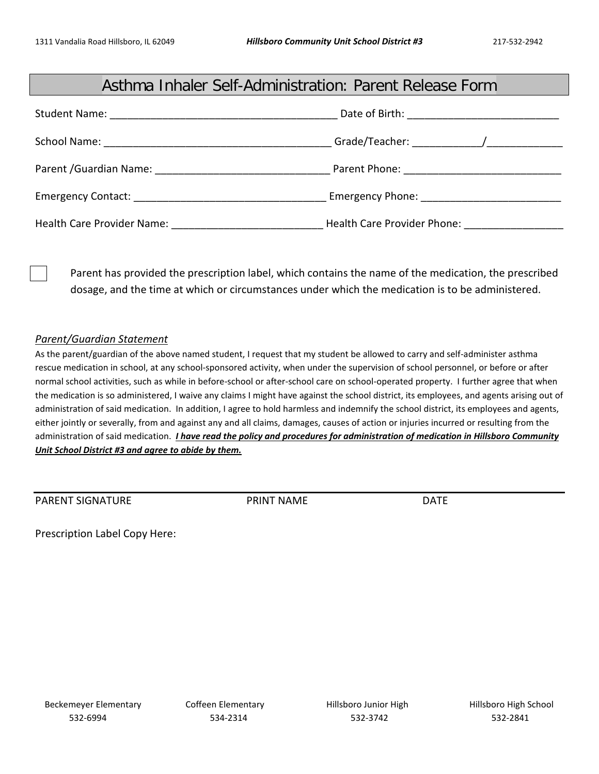## Asthma Inhaler Self-Administration: Parent Release Form

|                                                    | Date of Birth: <u>_______________________</u> |
|----------------------------------------------------|-----------------------------------------------|
|                                                    |                                               |
| Parent / Guardian Name: Name and Security Assembly |                                               |
|                                                    |                                               |
| Health Care Provider Name:                         | Health Care Provider Phone: _______________   |

Parent has provided the prescription label, which contains the name of the medication, the prescribed dosage, and the time at which or circumstances under which the medication is to be administered.

## *Parent/Guardian Statement*

As the parent/guardian of the above named student, I request that my student be allowed to carry and self-administer asthma rescue medication in school, at any school-sponsored activity, when under the supervision of school personnel, or before or after normal school activities, such as while in before-school or after-school care on school-operated property. I further agree that when the medication is so administered, I waive any claims I might have against the school district, its employees, and agents arising out of administration of said medication. In addition, I agree to hold harmless and indemnify the school district, its employees and agents, either jointly or severally, from and against any and all claims, damages, causes of action or injuries incurred or resulting from the administration of said medication. *I have read the policy and procedures for administration of medication in Hillsboro Community Unit School District #3 and agree to abide by them.* 

PARENT SIGNATURE THE PRINT NAME DATE

Prescription Label Copy Here: